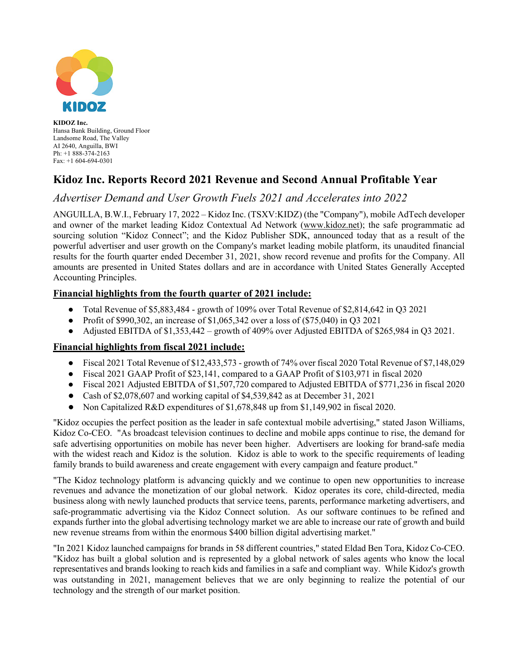

**KIDOZ Inc.** Hansa Bank Building, Ground Floor Landsome Road, The Valley AI 2640, Anguilla, BWI Ph: +1 888-374-2163 Fax: +1 604-694-0301

# **Kidoz Inc. Reports Record 2021 Revenue and Second Annual Profitable Year**

## *Advertiser Demand and User Growth Fuels 2021 and Accelerates into 2022*

ANGUILLA, B.W.I., February 17, 2022 – Kidoz Inc. (TSXV:KIDZ) (the "Company"), mobile AdTech developer and owner of the market leading Kidoz Contextual Ad Network (www.kidoz.net); the safe programmatic ad sourcing solution "Kidoz Connect"; and the Kidoz Publisher SDK, announced today that as a result of the powerful advertiser and user growth on the Company's market leading mobile platform, its unaudited financial results for the fourth quarter ended December 31, 2021, show record revenue and profits for the Company. All amounts are presented in United States dollars and are in accordance with United States Generally Accepted Accounting Principles.

### **Financial highlights from the fourth quarter of 2021 include:**

- Total Revenue of \$5,883,484 growth of 109% over Total Revenue of \$2,814,642 in Q3 2021
- Profit of \$990,302, an increase of  $$1,065,342$  over a loss of  $(\$75,040)$  in Q3 2021
- Adjusted EBITDA of \$1,353,442 growth of 409% over Adjusted EBITDA of \$265,984 in Q3 2021.

### **Financial highlights from fiscal 2021 include:**

- Fiscal 2021 Total Revenue of \$12,433,573 growth of 74% over fiscal 2020 Total Revenue of \$7,148,029
- Fiscal 2021 GAAP Profit of \$23,141, compared to a GAAP Profit of \$103,971 in fiscal 2020
- Fiscal 2021 Adjusted EBITDA of \$1,507,720 compared to Adjusted EBITDA of \$771,236 in fiscal 2020
- Cash of \$2,078,607 and working capital of \$4,539,842 as at December 31, 2021
- Non Capitalized R&D expenditures of \$1,678,848 up from \$1,149,902 in fiscal 2020.

"Kidoz occupies the perfect position as the leader in safe contextual mobile advertising," stated Jason Williams, Kidoz Co-CEO. "As broadcast television continues to decline and mobile apps continue to rise, the demand for safe advertising opportunities on mobile has never been higher. Advertisers are looking for brand-safe media with the widest reach and Kidoz is the solution. Kidoz is able to work to the specific requirements of leading family brands to build awareness and create engagement with every campaign and feature product."

"The Kidoz technology platform is advancing quickly and we continue to open new opportunities to increase revenues and advance the monetization of our global network. Kidoz operates its core, child-directed, media business along with newly launched products that service teens, parents, performance marketing advertisers, and safe-programmatic advertising via the Kidoz Connect solution. As our software continues to be refined and expands further into the global advertising technology market we are able to increase our rate of growth and build new revenue streams from within the enormous \$400 billion digital advertising market."

"In 2021 Kidoz launched campaigns for brands in 58 different countries," stated Eldad Ben Tora, Kidoz Co-CEO. "Kidoz has built a global solution and is represented by a global network of sales agents who know the local representatives and brands looking to reach kids and families in a safe and compliant way. While Kidoz's growth was outstanding in 2021, management believes that we are only beginning to realize the potential of our technology and the strength of our market position.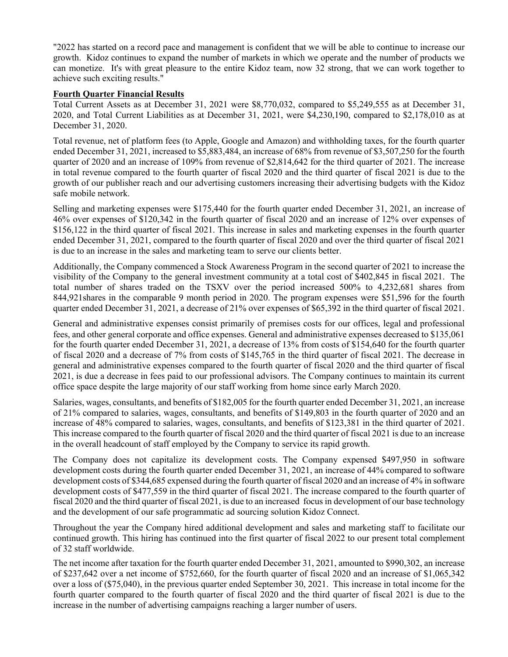"2022 has started on a record pace and management is confident that we will be able to continue to increase our growth. Kidoz continues to expand the number of markets in which we operate and the number of products we can monetize. It's with great pleasure to the entire Kidoz team, now 32 strong, that we can work together to achieve such exciting results."

#### **Fourth Quarter Financial Results**

Total Current Assets as at December 31, 2021 were \$8,770,032, compared to \$5,249,555 as at December 31, 2020, and Total Current Liabilities as at December 31, 2021, were \$4,230,190, compared to \$2,178,010 as at December 31, 2020.

Total revenue, net of platform fees (to Apple, Google and Amazon) and withholding taxes, for the fourth quarter ended December 31, 2021, increased to \$5,883,484, an increase of 68% from revenue of \$3,507,250 for the fourth quarter of 2020 and an increase of 109% from revenue of \$2,814,642 for the third quarter of 2021. The increase in total revenue compared to the fourth quarter of fiscal 2020 and the third quarter of fiscal 2021 is due to the growth of our publisher reach and our advertising customers increasing their advertising budgets with the Kidoz safe mobile network.

Selling and marketing expenses were \$175,440 for the fourth quarter ended December 31, 2021, an increase of 46% over expenses of \$120,342 in the fourth quarter of fiscal 2020 and an increase of 12% over expenses of \$156,122 in the third quarter of fiscal 2021. This increase in sales and marketing expenses in the fourth quarter ended December 31, 2021, compared to the fourth quarter of fiscal 2020 and over the third quarter of fiscal 2021 is due to an increase in the sales and marketing team to serve our clients better.

Additionally, the Company commenced a Stock Awareness Program in the second quarter of 2021 to increase the visibility of the Company to the general investment community at a total cost of \$402,845 in fiscal 2021. The total number of shares traded on the TSXV over the period increased 500% to 4,232,681 shares from 844,921shares in the comparable 9 month period in 2020. The program expenses were \$51,596 for the fourth quarter ended December 31, 2021, a decrease of 21% over expenses of \$65,392 in the third quarter of fiscal 2021.

General and administrative expenses consist primarily of premises costs for our offices, legal and professional fees, and other general corporate and office expenses. General and administrative expenses decreased to \$135,061 for the fourth quarter ended December 31, 2021, a decrease of 13% from costs of \$154,640 for the fourth quarter of fiscal 2020 and a decrease of 7% from costs of \$145,765 in the third quarter of fiscal 2021. The decrease in general and administrative expenses compared to the fourth quarter of fiscal 2020 and the third quarter of fiscal 2021, is due a decrease in fees paid to our professional advisors. The Company continues to maintain its current office space despite the large majority of our staff working from home since early March 2020.

Salaries, wages, consultants, and benefits of \$182,005 for the fourth quarter ended December 31, 2021, an increase of 21% compared to salaries, wages, consultants, and benefits of \$149,803 in the fourth quarter of 2020 and an increase of 48% compared to salaries, wages, consultants, and benefits of \$123,381 in the third quarter of 2021. This increase compared to the fourth quarter of fiscal 2020 and the third quarter of fiscal 2021 is due to an increase in the overall headcount of staff employed by the Company to service its rapid growth.

The Company does not capitalize its development costs. The Company expensed \$497,950 in software development costs during the fourth quarter ended December 31, 2021, an increase of 44% compared to software development costs of \$344,685 expensed during the fourth quarter of fiscal 2020 and an increase of 4% in software development costs of \$477,559 in the third quarter of fiscal 2021. The increase compared to the fourth quarter of fiscal 2020 and the third quarter of fiscal 2021, is due to an increased focus in development of our base technology and the development of our safe programmatic ad sourcing solution Kidoz Connect.

Throughout the year the Company hired additional development and sales and marketing staff to facilitate our continued growth. This hiring has continued into the first quarter of fiscal 2022 to our present total complement of 32 staff worldwide.

The net income after taxation for the fourth quarter ended December 31, 2021, amounted to \$990,302, an increase of \$237,642 over a net income of \$752,660, for the fourth quarter of fiscal 2020 and an increase of \$1,065,342 over a loss of (\$75,040), in the previous quarter ended September 30, 2021. This increase in total income for the fourth quarter compared to the fourth quarter of fiscal 2020 and the third quarter of fiscal 2021 is due to the increase in the number of advertising campaigns reaching a larger number of users.